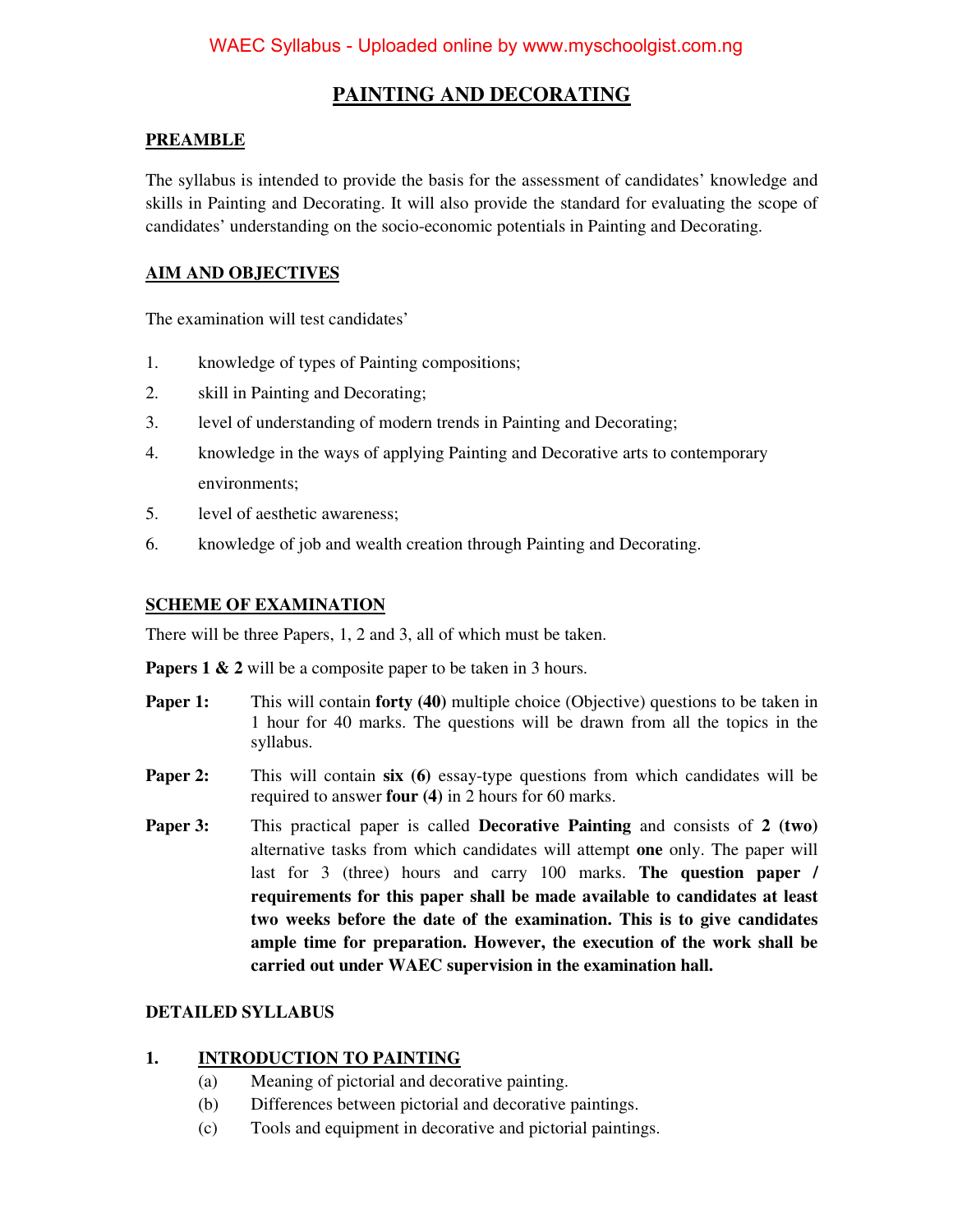# **PAINTING AND DECORATING**

#### **PREAMBLE**

The syllabus is intended to provide the basis for the assessment of candidates' knowledge and skills in Painting and Decorating. It will also provide the standard for evaluating the scope of candidates' understanding on the socio-economic potentials in Painting and Decorating.

## **AIM AND OBJECTIVES**

The examination will test candidates'

- 1. knowledge of types of Painting compositions;
- 2. skill in Painting and Decorating;
- 3. level of understanding of modern trends in Painting and Decorating;
- 4. knowledge in the ways of applying Painting and Decorative arts to contemporary environments;
- 5. level of aesthetic awareness;
- 6. knowledge of job and wealth creation through Painting and Decorating.

#### **SCHEME OF EXAMINATION**

There will be three Papers, 1, 2 and 3, all of which must be taken.

**Papers 1 & 2** will be a composite paper to be taken in 3 hours.

- **Paper 1:** This will contain **forty (40)** multiple choice (Objective) questions to be taken in 1 hour for 40 marks. The questions will be drawn from all the topics in the syllabus.
- **Paper 2:** This will contain six (6) essay-type questions from which candidates will be required to answer **four (4)** in 2 hours for 60 marks.
- **Paper 3:** This practical paper is called **Decorative Painting** and consists of **2 (two)** alternative tasks from which candidates will attempt **one** only. The paper will last for 3 (three) hours and carry 100 marks. **The question paper / requirements for this paper shall be made available to candidates at least two weeks before the date of the examination. This is to give candidates ample time for preparation. However, the execution of the work shall be carried out under WAEC supervision in the examination hall.**

### **DETAILED SYLLABUS**

### **1. INTRODUCTION TO PAINTING**

- (a) Meaning of pictorial and decorative painting.
- (b) Differences between pictorial and decorative paintings.
- (c) Tools and equipment in decorative and pictorial paintings.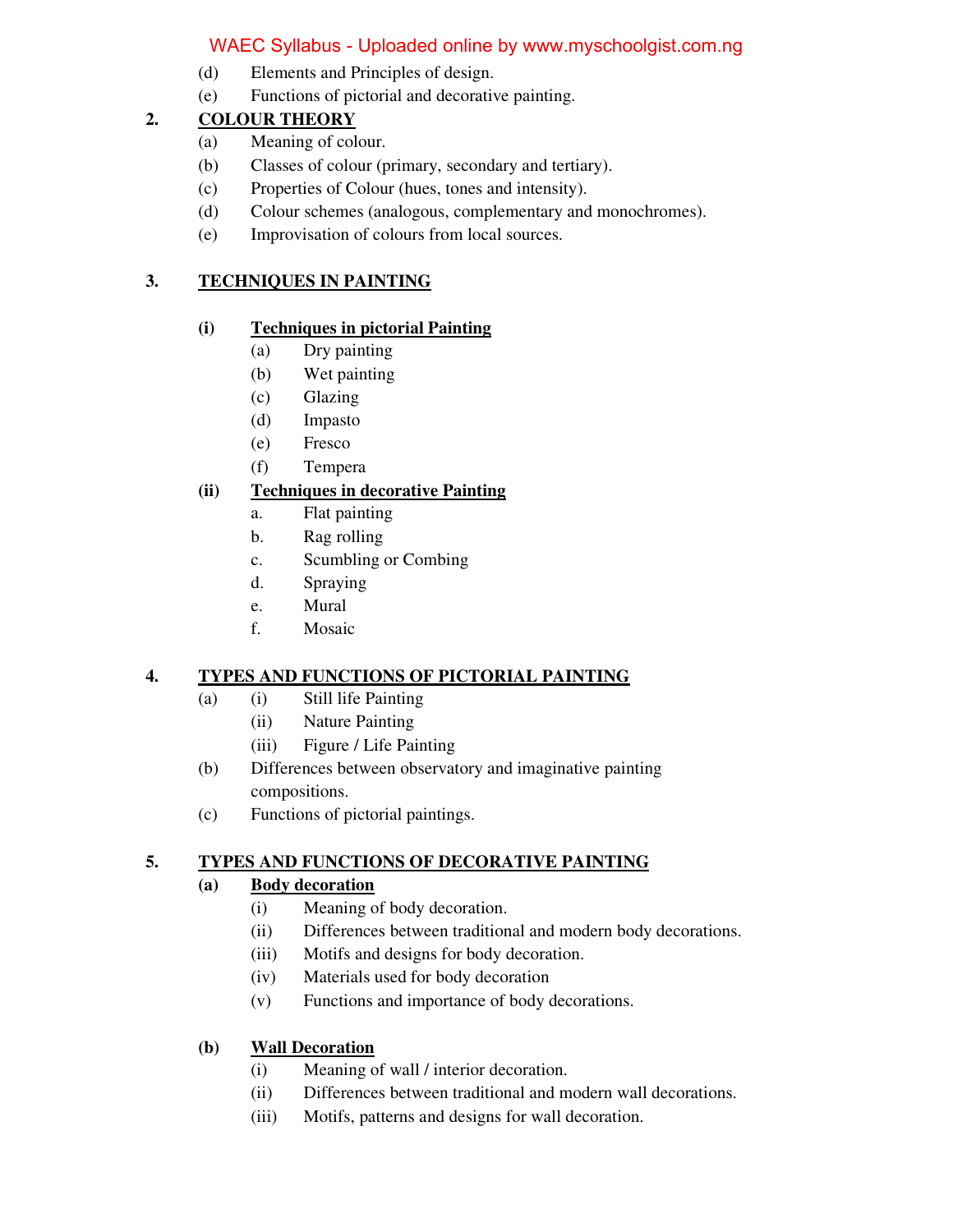# WAEC Syllabus - Uploaded online by www.myschoolgist.com.ng

- (d) Elements and Principles of design.
- (e) Functions of pictorial and decorative painting.

## **2. COLOUR THEORY**

- (a) Meaning of colour.
- (b) Classes of colour (primary, secondary and tertiary).
- (c) Properties of Colour (hues, tones and intensity).
- (d) Colour schemes (analogous, complementary and monochromes).
- (e) Improvisation of colours from local sources.

## **3. TECHNIQUES IN PAINTING**

## **(i) Techniques in pictorial Painting**

- (a) Dry painting
- (b) Wet painting
- (c) Glazing
- (d) Impasto
- (e) Fresco
- (f) Tempera

# **(ii) Techniques in decorative Painting**

- a. Flat painting
- b. Rag rolling
- c. Scumbling or Combing
- d. Spraying
- e. Mural
- f. Mosaic

# **4. TYPES AND FUNCTIONS OF PICTORIAL PAINTING**

- (a) (i) Still life Painting
	- (ii) Nature Painting
	- (iii) Figure / Life Painting
- (b) Differences between observatory and imaginative painting compositions.
- (c) Functions of pictorial paintings.

# **5. TYPES AND FUNCTIONS OF DECORATIVE PAINTING**

# **(a) Body decoration**

- (i) Meaning of body decoration.
- (ii) Differences between traditional and modern body decorations.
- (iii) Motifs and designs for body decoration.
- (iv) Materials used for body decoration
- (v) Functions and importance of body decorations.

# **(b) Wall Decoration**

- (i) Meaning of wall / interior decoration.
- (ii) Differences between traditional and modern wall decorations.
- (iii) Motifs, patterns and designs for wall decoration.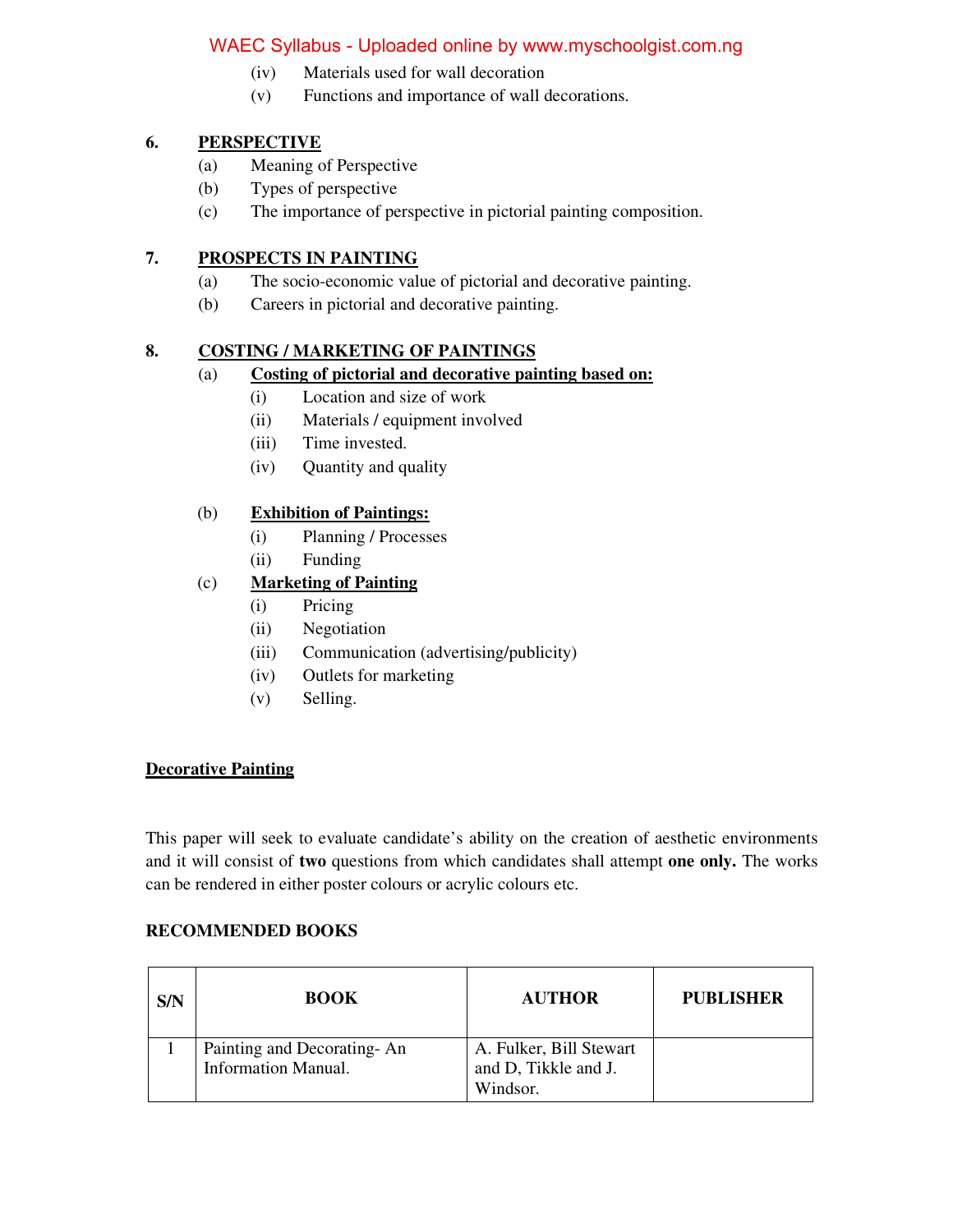## WAEC Syllabus - Uploaded online by www.myschoolgist.com.ng

- (iv) Materials used for wall decoration
- (v) Functions and importance of wall decorations.

### **6. PERSPECTIVE**

- (a) Meaning of Perspective
- (b) Types of perspective
- (c) The importance of perspective in pictorial painting composition.

#### **7. PROSPECTS IN PAINTING**

- (a) The socio-economic value of pictorial and decorative painting.
- (b) Careers in pictorial and decorative painting.

### **8. COSTING / MARKETING OF PAINTINGS**

#### (a) **Costing of pictorial and decorative painting based on:**

- (i) Location and size of work
- (ii) Materials / equipment involved
- (iii) Time invested.
- (iv) Quantity and quality

#### (b) **Exhibition of Paintings:**

- (i) Planning / Processes
- (ii) Funding

## (c) **Marketing of Painting**

- (i) Pricing
- (ii) Negotiation
- (iii) Communication (advertising/publicity)
- (iv) Outlets for marketing
- (v) Selling.

#### **Decorative Painting**

This paper will seek to evaluate candidate's ability on the creation of aesthetic environments and it will consist of **two** questions from which candidates shall attempt **one only.** The works can be rendered in either poster colours or acrylic colours etc.

#### **RECOMMENDED BOOKS**

| S/N | <b>BOOK</b>                                              | <b>AUTHOR</b>                                               | <b>PUBLISHER</b> |
|-----|----------------------------------------------------------|-------------------------------------------------------------|------------------|
|     | Painting and Decorating-An<br><b>Information Manual.</b> | A. Fulker, Bill Stewart<br>and D, Tikkle and J.<br>Windsor. |                  |